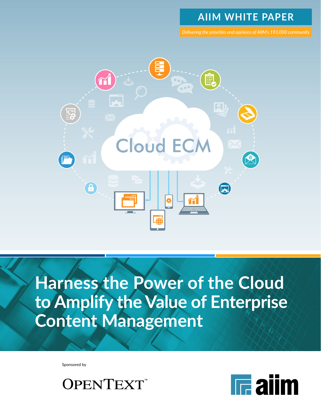# **AIIM WHITE PAPER**

*Delivering the priorities and opinions of AIIM's 193,000 community*



**Harness the Power of the Cloud to Amplify the Value of Enterprise Content Management**

Sponsored by



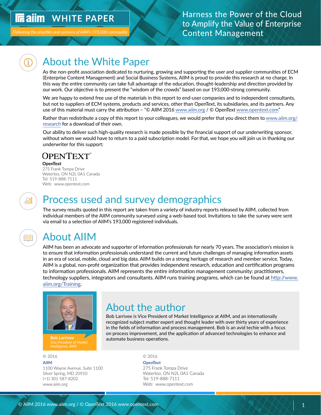# <span id="page-1-0"></span>*IRailm* WHITE PAPER

Delivering the priorities and opinions of AIIM's 193,000 community

### Harness the Power of the Cloud to Amplify the Value of Enterprise Content Management

# About the White Paper

As the non-profit association dedicated to nurturing, growing and supporting the user and supplier communities of ECM (Enterprise Content Management) and Social Business Systems, AIIM is proud to provide this research at no charge. In this way the entire community can take full advantage of the education, thought-leadership and direction provided by our work. Our objective is to present the "wisdom of the crowds" based on our 193,000-strong community.

We are happy to extend free use of the materials in this report to end-user companies and to independent consultants, but not to suppliers of ECM systems, products and services, other than OpenText, its subsidiaries, and its partners. Any use of this material must carry the attribution - "© AIIM 2016 [www.aiim.org](http://www.aiim.org) / © OpenText [www.opentext.com](http://www.opentext.com)"

Rather than redistribute a copy of this report to your colleagues, we would prefer that you direct them to [www.aiim.org/](http://www.aiim.org/research) [research](http://www.aiim.org/research) for a download of their own.

Our ability to deliver such high-quality research is made possible by the financial support of our underwriting sponsor, without whom we would have to return to a paid subscription model. For that, we hope you will join us in thanking our underwriter for this support:

### **OPENTEXT**

#### **OpenText**

275 Frank Tompa Drive Waterloo, ON N2L 0A1 Canada Tel: 519-888-7111 Web: www.opentext.com

# 淵

# Process used and survey demographics

The survey results quoted in this report are taken from a variety of industry reports released by AIIM, collected from individual members of the AIIM community surveyed using a web-based tool. Invitations to take the survey were sent via email to a selection of AIIM's 193,000 registered individuals.



# About AIIM

AIIM has been an advocate and supporter of information professionals for nearly 70 years. The association's mission is to ensure that information professionals understand the current and future challenges of managing information assets in an era of social, mobile, cloud and big data. AIIM builds on a strong heritage of research and member service. Today, AIIM is a global, non-profit organization that provides independent research, education and certification programs to information professionals. AIIM represents the entire information management community: practitioners, technology suppliers, integrators and consultants. AIIM runs training programs, which can be found at [http://www.](http://www.aiim.org/Training) [aiim.org/Training.](http://www.aiim.org/Training)



*Intelligence, AIIM*

© 2016 © 2016

**[AIIM](http://www.aiim.org) OpenText**  1100 Wayne Avenue, Suite 1100 275 Frank Tompa Drive (+1) 301 587-8202 Tel: 519-888-7111

# About the author

Bob Larrivee is Vice President of Market Intelligence at AIIM, and an internationally recognized subject matter expert and thought leader with over thirty years of experience in the fields of information and process management. Bob is an avid techie with a focus on process improvement, and the application of advanced technologies to enhance and **Bob Larrivee** *President* automate business operations.

Silver Spring, MD 20910 Waterloo, ON N2L 0A1 Canada www.aiim.org example and the web: www.opentext.com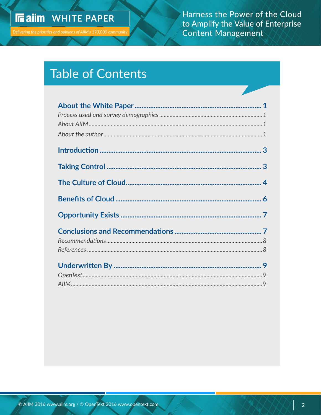Harness the Power of the Cloud to Amplify the Value of Enterprise **Content Management** 

# **Table of Contents**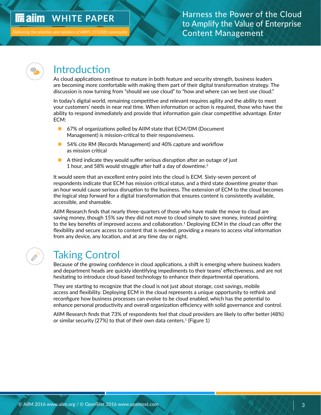#### <span id="page-3-0"></span>**In ailm WHITE PAPER**

**Delivering the priorities and opinions of AIIM's** 

### Harness the Power of the Cloud to Amplify the Value of Enterprise Content Management



## Introduction

As cloud applications continue to mature in both feature and security strength, business leaders are becoming more comfortable with making them part of their digital transformation strategy. The discussion is now turning from "should we use cloud" to "how and where can we best use cloud."

In today's digital world, remaining competitive and relevant requires agility and the ability to meet your customers' needs in near real time. When information or action is required, those who have the ability to respond immediately and provide that information gain clear competitive advantage. Enter ECM:

- 67% of organizations polled by AIIM state that ECM/DM (Document Management) is mission-critical to their responsiveness.
- 54% cite RM (Records Management) and 40% capture and workflow as mission critical
- $\blacksquare$  A third indicate they would suffer serious disruption after an outage of just 1 hour, and 58% would struggle after half a day of downtime.<sup>2</sup>

It would seem that an excellent entry point into the cloud is ECM. Sixty-seven percent of respondents indicate that ECM has mission critical status, and a third state downtime greater than an hour would cause serious disruption to the business. The extension of ECM to the cloud becomes the logical step forward for a digital transformation that ensures content is consistently available, accessible, and shareable.

AIIM Research finds that nearly three-quarters of those who have made the move to cloud are saving money, though 15% say they did not move to cloud simply to save money, instead pointing to the key benefits of improved access and collaboration.<sup>1</sup> Deploying ECM in the cloud can offer the flexibility and secure access to content that is needed, providing a means to access vital information from any device, any location, and at any time day or night.

# Taking Control

Because of the growing confidence in cloud applications, a shift is emerging where business leaders and department heads are quickly identifying impediments to their teams' effectiveness, and are not hesitating to introduce cloud-based technology to enhance their departmental operations.

They are starting to recognize that the cloud is not just about storage, cost savings, mobile access and flexibility. Deploying ECM in the cloud represents a unique opportunity to rethink and reconfigure how business processes can evolve to be cloud enabled, which has the potential to enhance personal productivity and overall organization efficiency with solid governance and control.

AIIM Research finds that 73% of respondents feel that cloud providers are likely to offer better (48%) or similar security (27%) to that of their own data centers.<sup>1</sup> (Figure 1)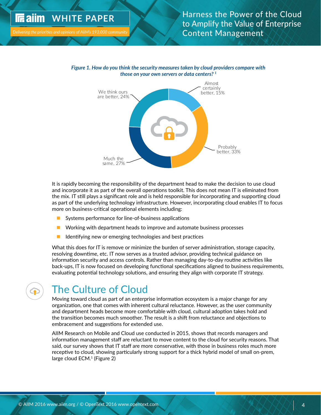<span id="page-4-0"></span>

Delivering the priorities and opinions of AIIM's 193,000 communit





It is rapidly becoming the responsibility of the department head to make the decision to use cloud and incorporate it as part of the overall operations toolkit. This does not mean IT is eliminated from the mix. IT still plays a significant role and is held responsible for incorporating and supporting cloud as part of the underlying technology infrastructure. However, incorporating cloud enables IT to focus more on business-critical operational elements including:

- **n** Systems performance for line-of-business applications
- $\blacksquare$  Working with department heads to improve and automate business processes
	- $\blacksquare$  Identifying new or emerging technologies and best practices

What this does for IT is remove or minimize the burden of server administration, storage capacity, resolving downtime, etc. IT now serves as a trusted advisor, providing technical guidance on information security and access controls. Rather than managing day-to-day routine activities like back-ups, IT is now focused on developing functional specifications aligned to business requirements, evaluating potential technology solutions, and ensuring they align with corporate IT strategy.  $\,$  $\frac{1}{2}$ give best-of-both is reflicted.

# The Culture of Cloud

Moving toward cloud as part of an enterprise information ecosystem is a major change for any organization, one that comes with inherent cultural reluctance. However, as the user community and department heads become more comfortable with cloud, cultural adoption takes hold and and department neads second more connormable with elocid, called a dooption takes hold and the transition becomes much smoother. The result is a shift from reluctance and objections to embracement and suggestions for extended use.

AIIM Research on Mobile and Cloud use conducted in 2015, shows that records managers and information management staff are reluctant to move content to the cloud for security reasons. That said, our survey shows that IT staff are more conservative, with those in business roles much more receptive to cloud, showing particularly strong support for a thick hybrid model of small on-prem, large cloud  $ECM<sup>1</sup>$  (Figure 2)

Easier to extend to partners and customers

Beer availability: fewer VPN and login issues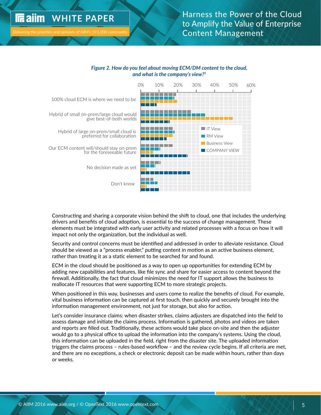#### **WHITE PAPER In ailm**

*Delivering the priorities and opinions of AIIM's 193,000 community* same, 27% Much the

### Harness the Power of the Cloud to Amplify the Value of Enterprise Content Management

#### *Figure 2. How do you feel about moving ECM/DM content to the cloud, and what is the company's view?1*



Constructing and sharing a corporate vision behind the shift to cloud, one that includes the underlying drivers and benefits of cloud adoption, is essential to the success of change management. These elements must be integrated with early user activity and related processes with a focus on how it will impact not only the organization, but the individual as well.  $\;$ 

Security and control concerns must be identified and addressed in order to alleviate resistance. Cloud should be viewed as a "process enabler," putting content in motion as an active business element, rather than treating it as a static element to be searched for and found.

ECM in the cloud should be positioned as a way to open up opportunities for extending ECM by adding new capabilities and features, like file sync and share for easier access to content beyond the firewall. Additionally, the fact that cloud minimizes the need for IT support allows the business to  $r$ eallocate IT resources that were supporting  $\mathsf{ECM}$  to more strategic projects. Easier to extend to partners and customers

When positioned in this way, businesses and users come to realize the benefits of cloud. For example, vital business information can be captured at first touch, then quickly and securely brought into the information management environment, not just for storage, but also for action.

Let's consider insurance claims: when disaster strikes, claims adjusters are dispatched into the field to assess damage and initiate the claims process. Information is gathered, photos and videos are taken and reports are filled out. Traditionally, these actions would take place on-site and then the adjuster would go to a physical office to upload the information into the company's systems. Using the cloud, this information can be uploaded in the field, right from the disaster site. The uploaded information triggers the claims process – rules-based workflow – and the review cycle begins. If all criteria are met, and there are no exceptions, a check or electronic deposit can be made within hours, rather than days or weeks.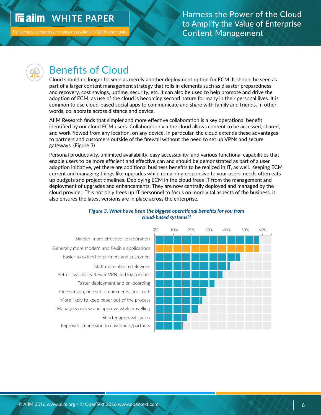## <span id="page-6-0"></span>*IRaim WHITE PAPER*



# Benefits of Cloud

Cloud should no longer be seen as merely another deployment option for ECM. It should be seen as part of a larger content management strategy that rolls in elements such as disaster preparedness and recovery, cost savings, uptime, security, etc. It can also be used to help promote and drive the adoption of ECM, as use of the cloud is becoming second nature for many in their personal lives. It is adoption of ECM, as use of the cloud is becoming second nature for many in their personal lives. It is common to use cloud-based social apps to communicate and share with family and friends. In other words, collaborate across distance and device. give best-of-both worlds

Much the same, 27%

AIIM Research finds that simpler and more effective collaboration is a key operational benefit identified by our cloud ECM users. Collaboration via the cloud allows content to be accessed, shared, and work-flowed from any location, on any device. In particular, the cloud extends these advantages to partners and customers outside of the firewall without the need to set up VPNs and secure gateways. (Figure 3)

Personal productivity, unlimited availability, easy accessibility, and various functional capabilities that enable users to be more efficient and effective can and should be demonstrated as part of a user and should be adoption initiative, yet there are additional business benefits to be realized in IT, as well. Keeping ECM current and managing things like upgrades while remaining responsive to your users' needs often eats up budgets and project timelines. Deploying ECM in the cloud frees IT from the management and deployment of upgrades and enhancements. They are now centrally deployed and managed by the cloud provider. This not only frees up IT personnel to focus on more vital aspects of the business, it also ensures the latest versions are in place across the enterprise.





#### *Figure 3. What have been the biggest operational benefits for you from cloud-based systems?1*

No, on-prem is sll live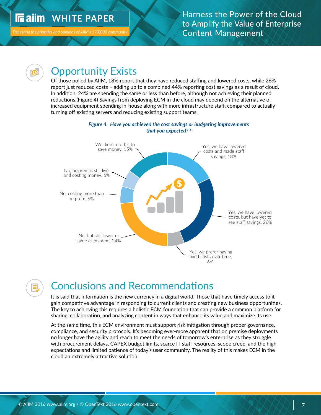#### <span id="page-7-0"></span>**IF** aiim WHITE PAPER

Delivering the priorities and opinions of AIIM's 193,000 community

Generally more modern and flexible applicaons



## ) Opportunity Exists

Staff more able to telework

 $\overline{\phantom{a}}$  Of those polled by AIIM, 18% report that they have reduced staffing and lowered costs, while 26% report just reduced costs - adding up to a combined 44% reporting cost savings as a result of cloud. In addition, 24% are spending the same or less than before, although not achieving their planned reductions.(Figure 4) Savings from deploying ECM in the cloud may depend on the alternative of reductions. The exploring in our deploying ECM in the cloud may depend on the alternative of<br>Increased equipment spending in-house along with more infrastructure staff, compared to actually turning off existing servers and reducing existing support teams.



# Conclusions and Recommendations

It is said that information is the new currency in a digital world. Those that have timely access to it gain competitive advantage in responding to current clients and creating new business opportunities. The key to achieving this requires a holistic ECM foundation that can provide a common platform for sharing, collaboration, and analyzing content in ways that enhance its value and maximize its use.

At the same time, this ECM environment must support risk mitigation through proper governance, compliance, and security protocols. It's becoming ever-more apparent that on premise deployments no longer have the agility and reach to meet the needs of tomorrow's enterprise as they struggle with procurement delays, CAPEX budget limits, scarce IT staff resources, scope creep, and the high expectations and limited patience of today's user community. The reality of this makes ECM in the cloud an extremely attractive solution.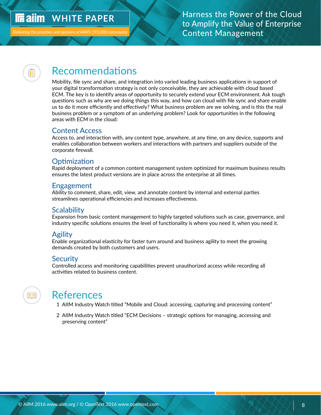#### <span id="page-8-0"></span>**In ailm WHITE PAPER**

### Harness the Power of the Cloud to Amplify the Value of Enterprise Content Management

# Recommendations

Mobility, file sync and share, and integration into varied leading business applications in support of your digital transformation strategy is not only conceivable, they are achievable with cloud based ECM. The key is to identify areas of opportunity to securely extend your ECM environment. Ask tough questions such as why are we doing things this way, and how can cloud with file sync and share enable us to do it more efficiently and effectively? What business problem are we solving, and is this the real business problem or a symptom of an underlying problem? Look for opportunities in the following areas with ECM in the cloud:

#### Content Access

Access to, and interaction with, any content type, anywhere, at any time, on any device, supports and enables collaboration between workers and interactions with partners and suppliers outside of the corporate firewall.

### **Optimization**

Rapid deployment of a common content management system optimized for maximum business results ensures the latest product versions are in place across the enterprise at all times.

### Engagement

Ability to comment, share, edit, view, and annotate content by internal and external parties streamlines operational efficiencies and increases effectiveness.

### **Scalability**

Expansion from basic content management to highly targeted solutions such as case, governance, and industry specific solutions ensures the level of functionality is where you need it, when you need it.

#### Agility

Enable organizational elasticity for faster turn around and business agility to meet the growing demands created by both customers and users.

#### **Security**

Controlled access and monitoring capabilities prevent unauthorized access while recording all activities related to business content.

## References

1 AIIM Industry Watch titled "Mobile and Cloud: accessing, capturing and processing content"

2 AIIM Industry Watch titled "ECM Decisions – strategic options for managing, accessing and preserving content"